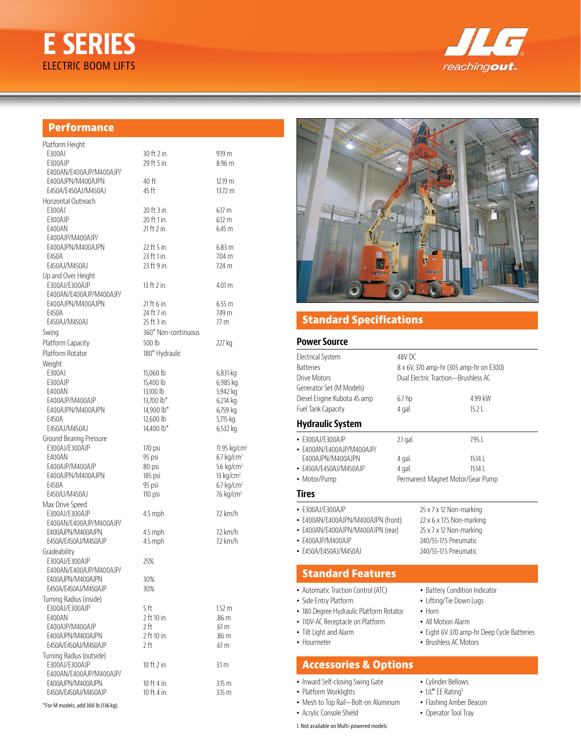# **E SERIES** ELECTRIC BOOM LIFTS



## **Performance**

\*For M models, add 300 lb (136 kg).

| Platform Height          |                     |                          |
|--------------------------|---------------------|--------------------------|
| E300AJ                   | 30 ft 2 in.         | 9.19 <sub>m</sub>        |
| E300AJP                  | 29 ft 5 in.         | 8.96 m                   |
| E400AN/E400AJP/M400AJP/  |                     |                          |
| E400AJPN/M400AJPN        | 40 ft               | 12.19 m                  |
| F450A/F450AJ/M450AJ      | 45 ft               | $13.72 \text{ m}$        |
| Horizontal Outreach      |                     |                          |
| E300AJ                   | 20 ft 3 in.         | $6.17 \text{ m}$         |
| E300AJP                  | 20 ft 1 in.         | $6.12 \text{ m}$         |
| E400AN                   | 21 ft 2 in.         | 6.45 m                   |
| F400AJP/M400AJP/         |                     |                          |
| E400AJPN/M400AJPN        | 22 ft 5 in.         | 6.83 m                   |
| E450A                    | 23 ft 1 in.         | $704 \text{ m}$          |
| E450AJ/M450AJ            | 23 ft 9 in.         | $7.24$ m                 |
| Up and Over Height       |                     |                          |
| E300AJ/E300AJP           | 13 ft 2 in.         | $4.01 \text{ m}$         |
| E400AN/E400AJP/M400AJP/  |                     |                          |
| E400AJPN/M400AJPN        | 21 ft 6 in.         | 6.55 m                   |
| F450A                    | 24 ft 7 in.         | 7.49 m                   |
| E450AJ/M450AJ            | 25 ft 3 in.         | 7.7 <sub>m</sub>         |
| Swing                    | 360° Non-continuous |                          |
| Platform Capacity        | 500 <sub>h</sub>    | 227 kg                   |
| Platform Rotator         | 180° Hydraulic      |                          |
| Weight                   |                     |                          |
| E300AJ                   | 15,060 lb           | 6,831 kg                 |
| E300AJP                  | 15,400 lb           | 6,985 kg                 |
| E400AN                   | 13,100 lb           | 5,942 kg                 |
| F400AJP/M400AJP          | 13,700 lb*          | 6,214 kg                 |
| E400AJPN/M400AJPN        | 14,900 lb*          | 6,759 kg                 |
| E450A                    | 12,600 lb           | 5,715 kg                 |
| E450AJ/M450AJ            | 14,400 lb*          | 6,532 kg                 |
| Ground Bearing Pressure  |                     |                          |
| E300AJ/E300AJP           | 170 psi             | 11.95 kg/cm <sup>2</sup> |
| E400AN                   | 95 psi              | $6.7$ kg/cm <sup>2</sup> |
| E400AJP/M400AJP          | 80 psi              | 5.6 kg/cm <sup>2</sup>   |
| E400AJPN/M400AJPN        | 185 psi             | $13$ kg/cm <sup>2</sup>  |
| E450A                    | 95 psi              | $6.7$ kg/cm <sup>2</sup> |
| E450AJ/M450AJ            | 110 psi             | 7.6 kg/cm <sup>2</sup>   |
| Max Drive Speed          |                     |                          |
| E300AJ/E300AJP           | 4.5 mph             | 7.2 km/h                 |
| F400AN/F400AJP/M400AJP/  |                     |                          |
| E400AJPN/M400AJPN        | 4.5 mph             | $72 \text{ km/h}$        |
| E450A/E450AJ/M450AJP     | 4.5 mph             | 72 km/h                  |
| Gradeability             |                     |                          |
| E300AJ/E300AJP           | 25%                 |                          |
| E400AN/E400AJP/M400AJP/  |                     |                          |
| E400AJPN/M400AJPN        | 30%                 |                          |
| E450A/E450AJ/M450AJP     | 30%                 |                          |
| Turning Radius (inside)  |                     |                          |
| F300AJ/F300AJP           | 5 ft                | $1.52 \text{ m}$         |
| E400AN                   | 2 ft 10 in.         | .86 m                    |
| E400AJP/M400AJP          | 2ft                 | .61 m                    |
| E400AJPN/M400AJPN        | 2 ft 10 in.         | .86 <sub>m</sub>         |
| E450A/E450AJ/M450AJP     | 2 ft                | .61 m                    |
| Turning Radius (outside) |                     |                          |
| E300AJ/E300AJP           | 10 ft 2 in.         | 3.1 m                    |
| E400AN/E400AJP/M400AJP/  |                     |                          |
| E400AJPN/M400AJPN        | 10 ft 4 in.         | 3.15 <sub>m</sub>        |
| E450A/E450AJ/M450AJP     | 10 ft 4 in.         | 3.15 <sub>m</sub>        |
|                          |                     |                          |



## **Standard Specifications**

#### **Power Source**

| <b>Electrical System</b><br><b>Batteries</b><br>Drive Motors                                                                                                                        |                                | 48V DC<br>8 x 6V, 370 amp-hr (305 amp-hr on E300)<br>Dual Electric Traction-Brushless AC                                                                                |  |  |
|-------------------------------------------------------------------------------------------------------------------------------------------------------------------------------------|--------------------------------|-------------------------------------------------------------------------------------------------------------------------------------------------------------------------|--|--|
| Generator Set (M Models)<br>Diesel Engine Kubota 45 amp<br>Fuel Tank Capacity                                                                                                       | 6.7 <sub>hp</sub><br>4 gal.    | 4.99 kW<br>$15.2$                                                                                                                                                       |  |  |
| <b>Hydraulic System</b>                                                                                                                                                             |                                |                                                                                                                                                                         |  |  |
| · F300AJ/F300AJP<br>• E400AN/E400AJP/M400AJP/<br>E400AJPN/M400AJPN<br>• E450A/E450AJ/M450AJP<br>• Motor/Pump                                                                        | $2.1$ gal.<br>4 gal.<br>4 gal. | 7951<br>$15.14$  <br>15.14<br>Permanent Magnet Motor/Gear Pump                                                                                                          |  |  |
| Tires                                                                                                                                                                               |                                |                                                                                                                                                                         |  |  |
| • E300AJ/E300AJP<br>• E400AN/E400AJPN/M400AJPN (front)<br>• E400AN/E400AJPN/M400AJPN (rear)<br>• F400AJP/M400AJP<br>• E450A/E450AJ/M450AJ                                           |                                | 25 x 7 x 12 Non-marking<br>22 x 6 x 17.5 Non-marking<br>25 x 7 x 12 Non-marking<br>240/55-17.5 Pneumatic<br>240/55-17.5 Pneumatic                                       |  |  |
| <b>Standard Features</b>                                                                                                                                                            |                                |                                                                                                                                                                         |  |  |
| • Automatic Traction Control (ATC)<br>• Side Entry Platform<br>· 180 Degree Hydraulic Platform Rotator<br>• 110V-AC Receptacle on Platform<br>• Tilt Light and Alarm<br>• Hourmeter |                                | • Battery Condition Indicator<br>• Lifting/Tie Down Lugs<br>$\bullet$ Horn<br>• All Motion Alarm<br>· Eight 6V 370 amp-hr Deep Cycle Batteries<br>• Brushless AC Motors |  |  |
| <b>Accessories &amp; Options</b>                                                                                                                                                    |                                |                                                                                                                                                                         |  |  |
| • Inward Self-closing Swing Gate<br>• Platform Worklights<br>• Mesh to Top Rail-Bolt-on Aluminum                                                                                    |                                | • Cylinder Bellows<br>• UL® EE Rating <sup>1</sup><br>• Flashing Amber Beacon                                                                                           |  |  |

- Acrylic Console Shield
	- 1. Not available on Multi-powered models.
- Flashing Amber Beacon
- Operator Tool Tray